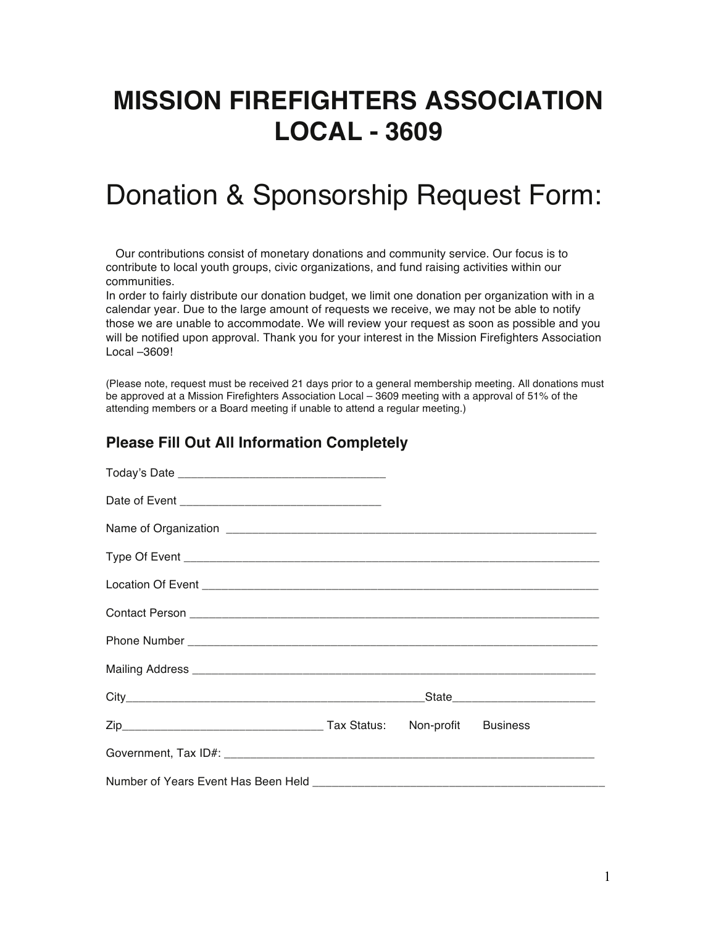## **MISSION FIREFIGHTERS ASSOCIATION LOCAL - 3609**

## Donation & Sponsorship Request Form:

 Our contributions consist of monetary donations and community service. Our focus is to contribute to local youth groups, civic organizations, and fund raising activities within our communities.

In order to fairly distribute our donation budget, we limit one donation per organization with in a calendar year. Due to the large amount of requests we receive, we may not be able to notify those we are unable to accommodate. We will review your request as soon as possible and you will be notified upon approval. Thank you for your interest in the Mission Firefighters Association Local –3609!

(Please note, request must be received 21 days prior to a general membership meeting. All donations must be approved at a Mission Firefighters Association Local – 3609 meeting with a approval of 51% of the attending members or a Board meeting if unable to attend a regular meeting.)

#### **Please Fill Out All Information Completely**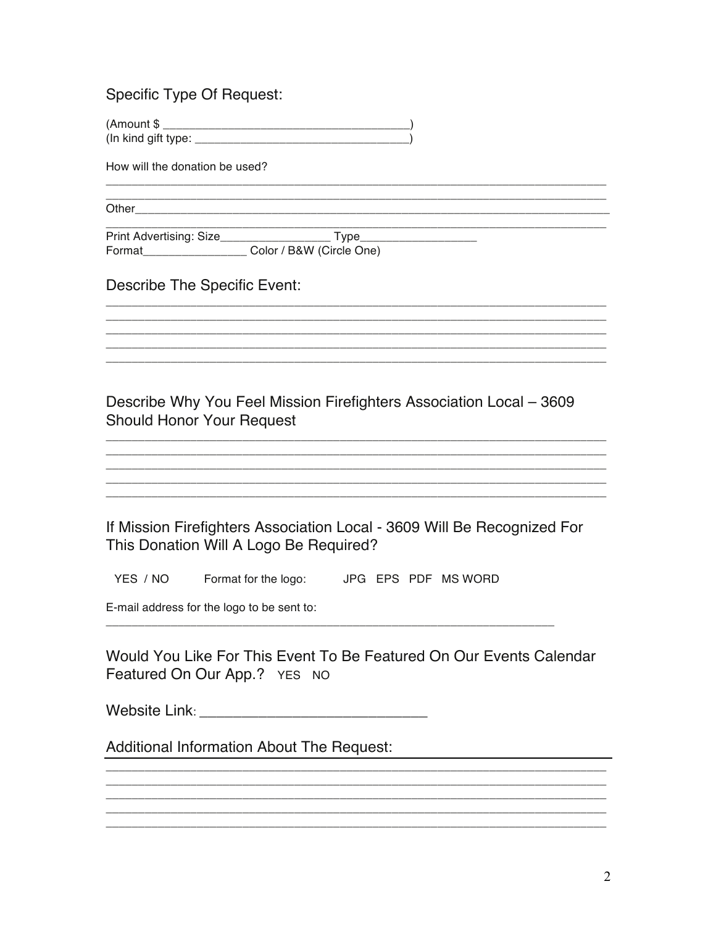**Specific Type Of Request:** 

<u> 1980 - Johann Stein, marwolaethau (b. 1980)</u>

How will the donation be used?

Other than the contract of the contract of the contract of the contract of the contract of the contract of the

Format\_\_\_\_\_\_\_\_\_\_\_\_\_\_\_\_\_\_\_\_\_\_\_ Color / B&W (Circle One)

**Describe The Specific Event:** 

Describe Why You Feel Mission Firefighters Association Local - 3609 **Should Honor Your Request** 

If Mission Firefighters Association Local - 3609 Will Be Recognized For This Donation Will A Logo Be Required?

YES / NO Format for the logo: JPG EPS PDF MS WORD

E-mail address for the logo to be sent to:

Would You Like For This Event To Be Featured On Our Events Calendar Featured On Our App.? YES NO

Website Link: Website Link:

**Additional Information About The Request:**